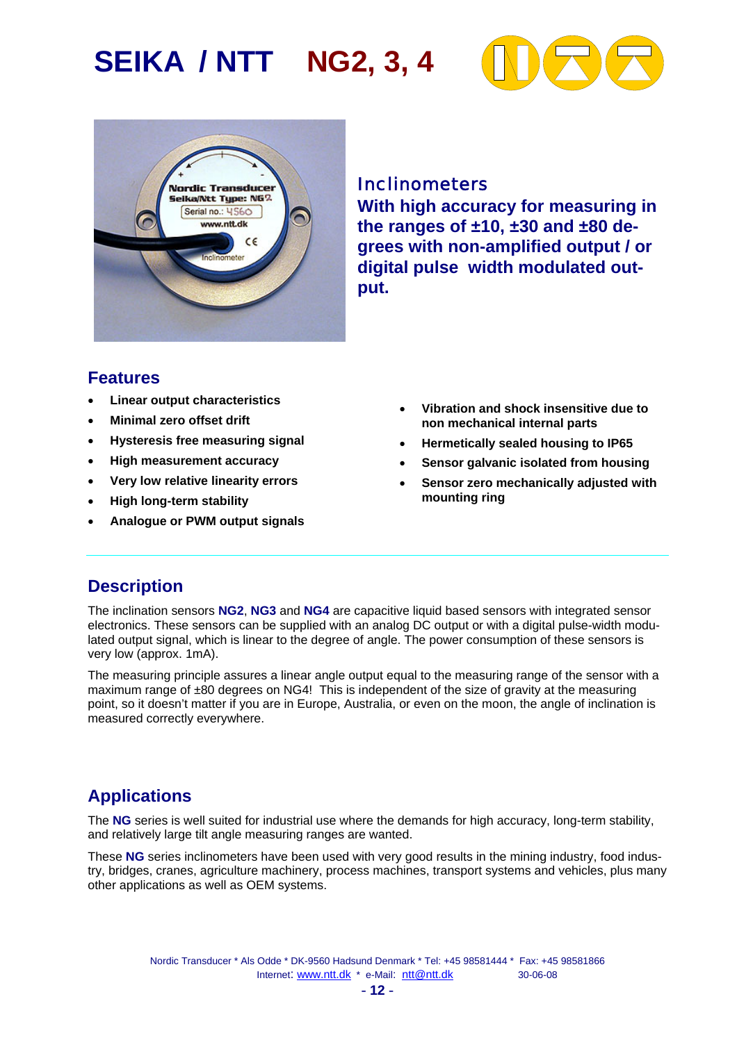## **SEIKA / NTT NG2, 3, 4**





#### Inclinometers

**With high accuracy for measuring in the ranges of ±10, ±30 and ±80 degrees with non-amplified output / or digital pulse width modulated output.**

#### **Features**

- **Linear output characteristics**
- **Minimal zero offset drift**
- **Hysteresis free measuring signal**
- **High measurement accuracy**
- **Very low relative linearity errors**
- **High long-term stability**
- **Analogue or PWM output signals**
- **Vibration and shock insensitive due to non mechanical internal parts**
- **Hermetically sealed housing to IP65**
- **Sensor galvanic isolated from housing**
- **Sensor zero mechanically adjusted with mounting ring**

#### **Description**

The inclination sensors **NG2**, **NG3** and **NG4** are capacitive liquid based sensors with integrated sensor electronics. These sensors can be supplied with an analog DC output or with a digital pulse-width modulated output signal, which is linear to the degree of angle. The power consumption of these sensors is very low (approx. 1mA).

The measuring principle assures a linear angle output equal to the measuring range of the sensor with a maximum range of ±80 degrees on NG4! This is independent of the size of gravity at the measuring point, so it doesn't matter if you are in Europe, Australia, or even on the moon, the angle of inclination is measured correctly everywhere.

### **Applications**

The **NG** series is well suited for industrial use where the demands for high accuracy, long-term stability, and relatively large tilt angle measuring ranges are wanted.

These **NG** series inclinometers have been used with very good results in the mining industry, food industry, bridges, cranes, agriculture machinery, process machines, transport systems and vehicles, plus many other applications as well as OEM systems.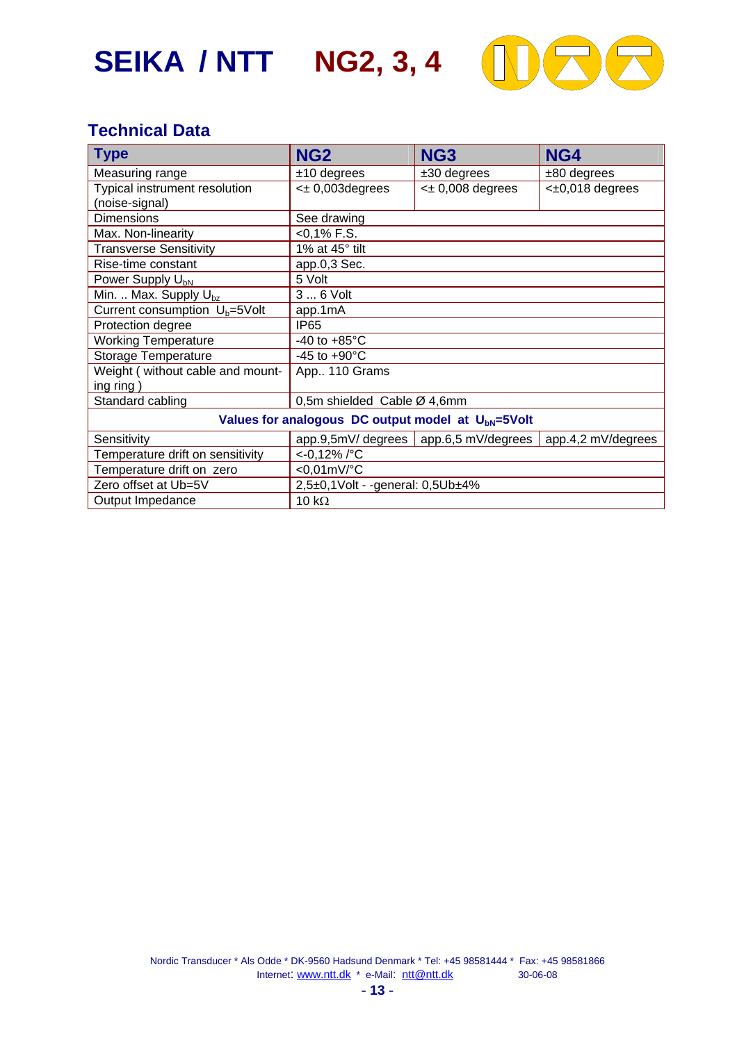



| <b>Technical Data</b>                                          |                                  |                                               |                          |
|----------------------------------------------------------------|----------------------------------|-----------------------------------------------|--------------------------|
| <b>Type</b>                                                    | NG <sub>2</sub>                  | NG <sub>3</sub>                               | NG4                      |
| Measuring range                                                | $±10$ degrees                    | $±30$ degrees                                 | $±80$ degrees            |
| Typical instrument resolution<br>(noise-signal)                | $\leq$ 0,003 degrees             | $\leq$ 0,008 degrees                          | $\leq \pm 0.018$ degrees |
| Dimensions                                                     | See drawing                      |                                               |                          |
| Max. Non-linearity                                             | $<$ 0,1% F.S.                    |                                               |                          |
| <b>Transverse Sensitivity</b>                                  | 1% at 45° tilt                   |                                               |                          |
| Rise-time constant                                             | app.0,3 Sec.                     |                                               |                          |
| Power Supply U <sub>bN</sub>                                   | 5 Volt                           |                                               |                          |
| Min.  Max. Supply $U_{bz}$                                     | 3  6 Volt                        |                                               |                          |
| Current consumption U <sub>b</sub> =5Volt                      | app.1mA                          |                                               |                          |
| Protection degree                                              | <b>IP65</b>                      |                                               |                          |
| <b>Working Temperature</b>                                     | -40 to $+85^{\circ}$ C           |                                               |                          |
| <b>Storage Temperature</b>                                     | $-45$ to $+90^{\circ}$ C         |                                               |                          |
| Weight (without cable and mount-<br>ing ring)                  | App 110 Grams                    |                                               |                          |
| Standard cabling                                               | 0,5m shielded Cable Ø 4,6mm      |                                               |                          |
| Values for analogous DC output model at U <sub>bN</sub> =5Volt |                                  |                                               |                          |
| Sensitivity                                                    |                                  | $app.9, 5mV/degrees \mid app.6, 5 mV/degrees$ | app.4,2 mV/degrees       |
| Temperature drift on sensitivity                               | <-0,12%/°C                       |                                               |                          |
| Temperature drift on zero                                      | $<$ 0,01mV/°C                    |                                               |                          |
| Zero offset at Ub=5V                                           | 2,5±0,1Volt - -general: 0,5Ub±4% |                                               |                          |
| Output Impedance                                               | 10 $k\Omega$                     |                                               |                          |